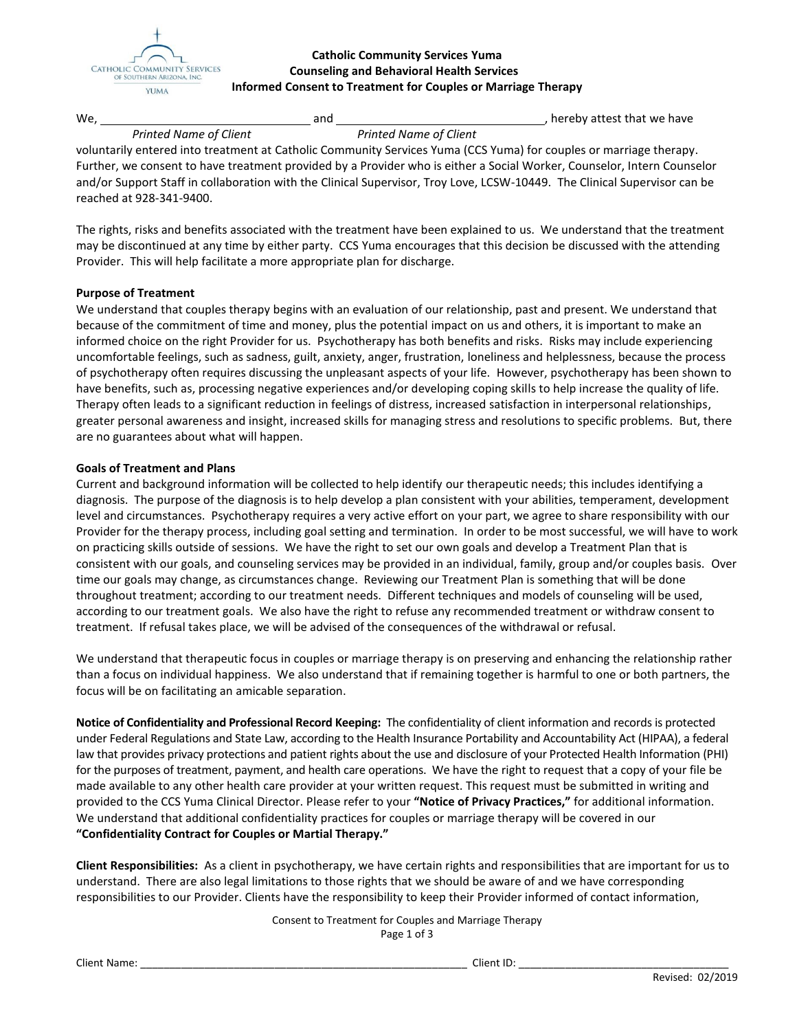

## **Catholic Community Services Yuma Counseling and Behavioral Health Services Informed Consent to Treatment for Couples or Marriage Therapy**

| We |                               | and |                               | , hereby attest that we have |
|----|-------------------------------|-----|-------------------------------|------------------------------|
|    | <b>Printed Name of Client</b> |     | <b>Printed Name of Client</b> |                              |

voluntarily entered into treatment at Catholic Community Services Yuma (CCS Yuma) for couples or marriage therapy. Further, we consent to have treatment provided by a Provider who is either a Social Worker, Counselor, Intern Counselor and/or Support Staff in collaboration with the Clinical Supervisor, Troy Love, LCSW-10449. The Clinical Supervisor can be reached at 928-341-9400.

The rights, risks and benefits associated with the treatment have been explained to us. We understand that the treatment may be discontinued at any time by either party. CCS Yuma encourages that this decision be discussed with the attending Provider. This will help facilitate a more appropriate plan for discharge.

## **Purpose of Treatment**

We understand that couples therapy begins with an evaluation of our relationship, past and present. We understand that because of the commitment of time and money, plus the potential impact on us and others, it is important to make an informed choice on the right Provider for us. Psychotherapy has both benefits and risks. Risks may include experiencing uncomfortable feelings, such as sadness, guilt, anxiety, anger, frustration, loneliness and helplessness, because the process of psychotherapy often requires discussing the unpleasant aspects of your life. However, psychotherapy has been shown to have benefits, such as, processing negative experiences and/or developing coping skills to help increase the quality of life. Therapy often leads to a significant reduction in feelings of distress, increased satisfaction in interpersonal relationships, greater personal awareness and insight, increased skills for managing stress and resolutions to specific problems. But, there are no guarantees about what will happen.

## **Goals of Treatment and Plans**

Current and background information will be collected to help identify our therapeutic needs; this includes identifying a diagnosis. The purpose of the diagnosis is to help develop a plan consistent with your abilities, temperament, development level and circumstances. Psychotherapy requires a very active effort on your part, we agree to share responsibility with our Provider for the therapy process, including goal setting and termination. In order to be most successful, we will have to work on practicing skills outside of sessions. We have the right to set our own goals and develop a Treatment Plan that is consistent with our goals, and counseling services may be provided in an individual, family, group and/or couples basis. Over time our goals may change, as circumstances change. Reviewing our Treatment Plan is something that will be done throughout treatment; according to our treatment needs. Different techniques and models of counseling will be used, according to our treatment goals. We also have the right to refuse any recommended treatment or withdraw consent to treatment. If refusal takes place, we will be advised of the consequences of the withdrawal or refusal.

We understand that therapeutic focus in couples or marriage therapy is on preserving and enhancing the relationship rather than a focus on individual happiness. We also understand that if remaining together is harmful to one or both partners, the focus will be on facilitating an amicable separation.

**Notice of Confidentiality and Professional Record Keeping:** The confidentiality of client information and records is protected under Federal Regulations and State Law, according to the Health Insurance Portability and Accountability Act (HIPAA), a federal law that provides privacy protections and patient rights about the use and disclosure of your Protected Health Information (PHI) for the purposes of treatment, payment, and health care operations. We have the right to request that a copy of your file be made available to any other health care provider at your written request. This request must be submitted in writing and provided to the CCS Yuma Clinical Director. Please refer to your **"Notice of Privacy Practices,"** for additional information. We understand that additional confidentiality practices for couples or marriage therapy will be covered in our **"Confidentiality Contract for Couples or Martial Therapy."**

**Client Responsibilities:** As a client in psychotherapy, we have certain rights and responsibilities that are important for us to understand. There are also legal limitations to those rights that we should be aware of and we have corresponding responsibilities to our Provider. Clients have the responsibility to keep their Provider informed of contact information,

> Consent to Treatment for Couples and Marriage Therapy Page 1 of 3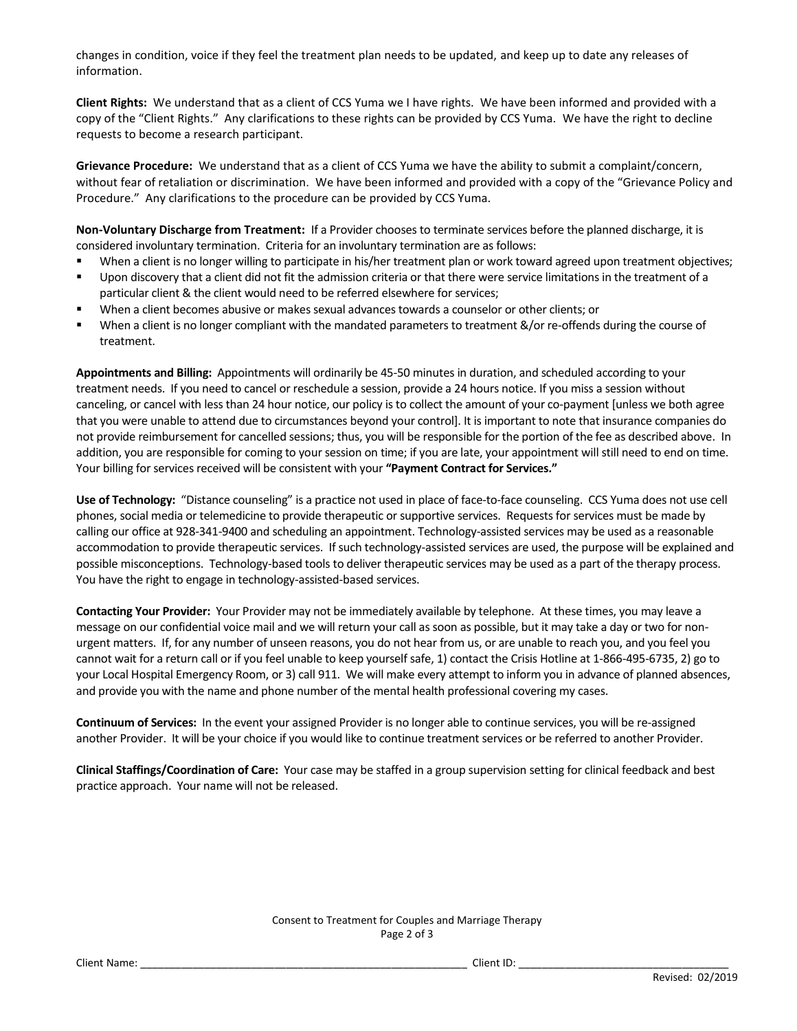changes in condition, voice if they feel the treatment plan needs to be updated, and keep up to date any releases of information.

**Client Rights:** We understand that as a client of CCS Yuma we I have rights. We have been informed and provided with a copy of the "Client Rights." Any clarifications to these rights can be provided by CCS Yuma. We have the right to decline requests to become a research participant.

**Grievance Procedure:** We understand that as a client of CCS Yuma we have the ability to submit a complaint/concern, without fear of retaliation or discrimination. We have been informed and provided with a copy of the "Grievance Policy and Procedure." Any clarifications to the procedure can be provided by CCS Yuma.

**Non-Voluntary Discharge from Treatment:** If a Provider chooses to terminate services before the planned discharge, it is considered involuntary termination. Criteria for an involuntary termination are as follows:

- When a client is no longer willing to participate in his/her treatment plan or work toward agreed upon treatment objectives;
- Upon discovery that a client did not fit the admission criteria or that there were service limitations in the treatment of a particular client & the client would need to be referred elsewhere for services;
- When a client becomes abusive or makes sexual advances towards a counselor or other clients; or
- When a client is no longer compliant with the mandated parameters to treatment &/or re-offends during the course of treatment.

**Appointments and Billing:** Appointments will ordinarily be 45-50 minutes in duration, and scheduled according to your treatment needs. If you need to cancel or reschedule a session, provide a 24 hours notice. If you miss a session without canceling, or cancel with less than 24 hour notice, our policy is to collect the amount of your co-payment [unless we both agree that you were unable to attend due to circumstances beyond your control]. It is important to note that insurance companies do not provide reimbursement for cancelled sessions; thus, you will be responsible for the portion of the fee as described above. In addition, you are responsible for coming to your session on time; if you are late, your appointment will still need to end on time. Your billing for services received will be consistent with your **"Payment Contract for Services."**

**Use of Technology:** "Distance counseling" is a practice not used in place of face-to-face counseling. CCS Yuma does not use cell phones, social media or telemedicine to provide therapeutic or supportive services. Requests for services must be made by calling our office at 928-341-9400 and scheduling an appointment. Technology-assisted services may be used as a reasonable accommodation to provide therapeutic services. If such technology-assisted services are used, the purpose will be explained and possible misconceptions. Technology-based tools to deliver therapeutic services may be used as a part of the therapy process. You have the right to engage in technology-assisted-based services.

**Contacting Your Provider:** Your Provider may not be immediately available by telephone. At these times, you may leave a message on our confidential voice mail and we will return your call as soon as possible, but it may take a day or two for nonurgent matters. If, for any number of unseen reasons, you do not hear from us, or are unable to reach you, and you feel you cannot wait for a return call or if you feel unable to keep yourself safe, 1) contact the Crisis Hotline at 1-866-495-6735, 2) go to your Local Hospital Emergency Room, or 3) call 911. We will make every attempt to inform you in advance of planned absences, and provide you with the name and phone number of the mental health professional covering my cases.

**Continuum of Services:** In the event your assigned Provider is no longer able to continue services, you will be re-assigned another Provider. It will be your choice if you would like to continue treatment services or be referred to another Provider.

**Clinical Staffings/Coordination of Care:** Your case may be staffed in a group supervision setting for clinical feedback and best practice approach. Your name will not be released.

## Consent to Treatment for Couples and Marriage Therapy Page 2 of 3